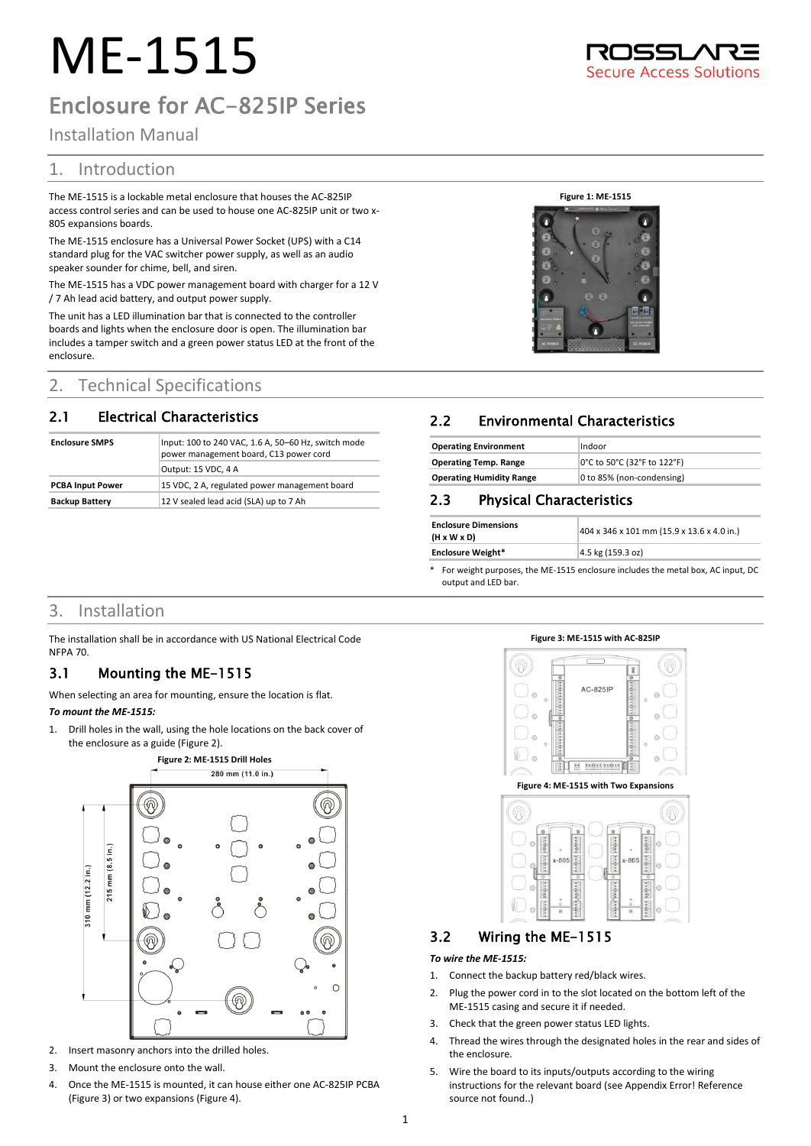# ME-1515

## Enclosure for AC-825IP Series

## Installation Manual

## 1. Introduction

The ME-1515 is a lockable metal enclosure that houses the AC-825IP access control series and can be used to house one AC-825IP unit or two x-805 expansions boards.

The ME-1515 enclosure has a Universal Power Socket (UPS) with a C14 standard plug for the VAC switcher power supply, as well as an audio speaker sounder for chime, bell, and siren.

The ME-1515 has a VDC power management board with charger for a 12 V / 7 Ah lead acid battery, and output power supply.

The unit has a LED illumination bar that is connected to the controller boards and lights when the enclosure door is open. The illumination bar includes a tamper switch and a green power status LED at the front of the enclosure.

## 2. Technical Specifications

## 2.1 Electrical Characteristics

| <b>Enclosure SMPS</b>   | Input: 100 to 240 VAC, 1.6 A, 50-60 Hz, switch mode<br>power management board, C13 power cord |  |
|-------------------------|-----------------------------------------------------------------------------------------------|--|
|                         | Output: 15 VDC, 4 A                                                                           |  |
| <b>PCBA Input Power</b> | 15 VDC, 2 A, regulated power management board                                                 |  |
| <b>Backup Battery</b>   | 12 V sealed lead acid (SLA) up to 7 Ah                                                        |  |

#### **Figure 1: ME-1515**



## 2.2 Environmental Characteristics

| <b>Operating Environment</b>    | Indoor                      |
|---------------------------------|-----------------------------|
| <b>Operating Temp. Range</b>    | 0°C to 50°C (32°F to 122°F) |
| <b>Operating Humidity Range</b> | 0 to 85% (non-condensing)   |

## 2.3 Physical Characteristics

| <b>Enclosure Dimensions</b><br>$(H \times W \times D)$ | 404 x 346 x 101 mm (15.9 x 13.6 x 4.0 in.) |
|--------------------------------------------------------|--------------------------------------------|
| <b>Enclosure Weight*</b>                               | 4.5 kg (159.3 oz)                          |

\* For weight purposes, the ME-1515 enclosure includes the metal box, AC input, DC output and LED bar.

## 3. Installation

The installation shall be in accordance with US National Electrical Code NFPA 70.

## 3.1 Mounting the ME-1515

When selecting an area for mounting, ensure the location is flat. *To mount the ME-1515:*

<span id="page-0-0"></span>1. Drill holes in the wall, using the hole locations on the back cover of the enclosure as a guide [\(Figure 2\).](#page-0-0)

**Figure 2: ME-1515 Drill Holes** 280 mm (11.0 in.) ⋒ ଭ 215 mm (8.5 in.) \$10 mm (12.2 in.) ⊛ ඹ  $\Omega$  $^\circledR$ 

- 2. Insert masonry anchors into the drilled holes.
- 3. Mount the enclosure onto the wall.
- 4. Once the ME-1515 is mounted, it can house either one AC-825IP PCBA [\(Figure 3\)](#page-0-1) or two expansions [\(Figure 4\)](#page-0-2).

<span id="page-0-1"></span>

<span id="page-0-2"></span>

## 3.2 Wiring the ME-1515

#### *To wire the ME-1515:*

- 1. Connect the backup battery red/black wires.
- 2. Plug the power cord in to the slot located on the bottom left of the ME-1515 casing and secure it if needed.
- 3. Check that the green power status LED lights.
- 4. Thread the wires through the designated holes in the rear and sides of the enclosure.
- 5. Wire the board to its inputs/outputs according to the wiring instructions for the relevant board (see Appendix Error! Reference source not found..)



**ISSL/ Secure Access Solutions**